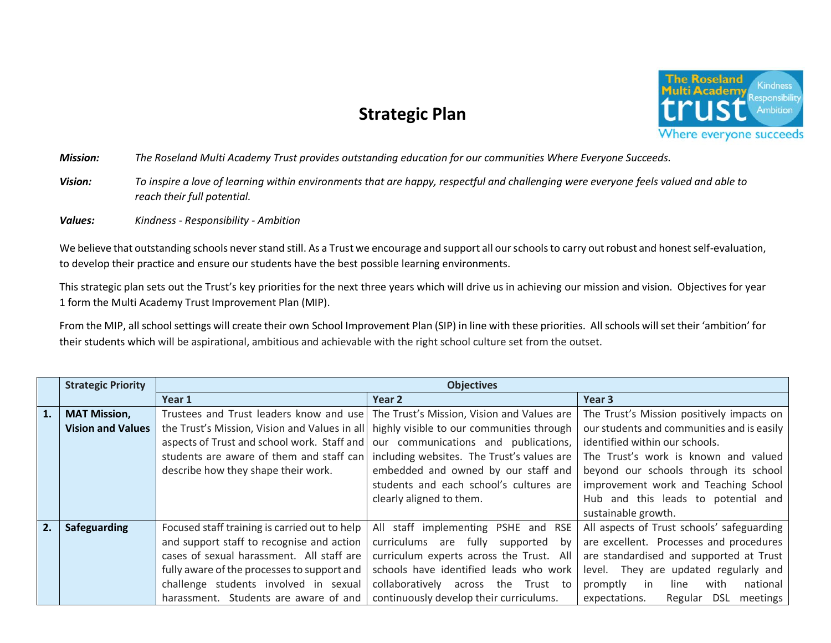## **Strategic Plan**



*Mission: The Roseland Multi Academy Trust provides outstanding education for our communities Where Everyone Succeeds.*

- *Vision: To inspire a love of learning within environments that are happy, respectful and challenging were everyone feels valued and able to reach their full potential.*
- *Values: Kindness - Responsibility - Ambition*

We believe that outstanding schools never stand still. As a Trust we encourage and support all our schools to carry out robust and honest self-evaluation, to develop their practice and ensure our students have the best possible learning environments.

This strategic plan sets out the Trust's key priorities for the next three years which will drive us in achieving our mission and vision. Objectives for year 1 form the Multi Academy Trust Improvement Plan (MIP).

From the MIP, all school settings will create their own School Improvement Plan (SIP) in line with these priorities. All schools will set their 'ambition' for their students which will be aspirational, ambitious and achievable with the right school culture set from the outset.

|    | <b>Strategic Priority</b>                       | <b>Objectives</b>                                                                                                                                                                                                                                                        |                                                                                                                                                                                                                                                               |                                                                                                                                                                                                                                                                      |  |  |
|----|-------------------------------------------------|--------------------------------------------------------------------------------------------------------------------------------------------------------------------------------------------------------------------------------------------------------------------------|---------------------------------------------------------------------------------------------------------------------------------------------------------------------------------------------------------------------------------------------------------------|----------------------------------------------------------------------------------------------------------------------------------------------------------------------------------------------------------------------------------------------------------------------|--|--|
|    |                                                 | Year 1                                                                                                                                                                                                                                                                   | Year 2                                                                                                                                                                                                                                                        | Year <sub>3</sub>                                                                                                                                                                                                                                                    |  |  |
| 1. | <b>MAT Mission,</b><br><b>Vision and Values</b> | Trustees and Trust leaders know and use<br>the Trust's Mission, Vision and Values in all<br>aspects of Trust and school work. Staff and                                                                                                                                  | The Trust's Mission, Vision and Values are<br>highly visible to our communities through<br>our communications and publications,                                                                                                                               | The Trust's Mission positively impacts on<br>our students and communities and is easily<br>identified within our schools.                                                                                                                                            |  |  |
|    |                                                 | students are aware of them and staff can<br>describe how they shape their work.                                                                                                                                                                                          | including websites. The Trust's values are<br>embedded and owned by our staff and<br>students and each school's cultures are<br>clearly aligned to them.                                                                                                      | The Trust's work is known and valued<br>beyond our schools through its school<br>improvement work and Teaching School<br>Hub and this leads to potential and<br>sustainable growth.                                                                                  |  |  |
| 2. | Safeguarding                                    | Focused staff training is carried out to help<br>and support staff to recognise and action<br>cases of sexual harassment. All staff are<br>fully aware of the processes to support and<br>challenge students involved in sexual<br>harassment. Students are aware of and | All staff implementing PSHE and RSE<br>curriculums are<br>fully<br>supported<br>bv<br>curriculum experts across the Trust. All<br>schools have identified leads who work<br>collaboratively across the<br>Trust to<br>continuously develop their curriculums. | All aspects of Trust schools' safeguarding<br>are excellent. Processes and procedures<br>are standardised and supported at Trust<br>level. They are updated regularly and<br>national<br>with<br>promptly<br>line<br>-in<br>Regular DSL<br>meetings<br>expectations. |  |  |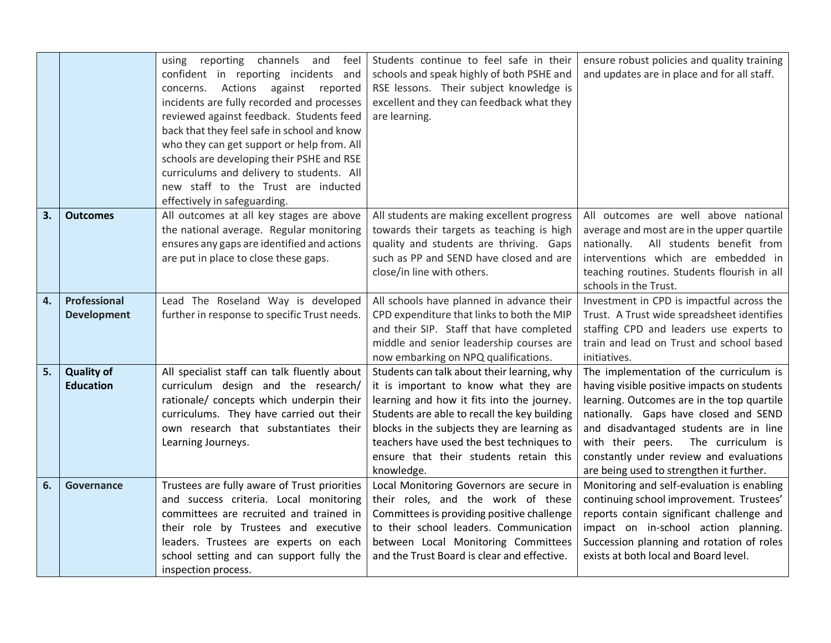|    |                                       | feel<br>using reporting channels and<br>confident in reporting incidents and<br>Actions against reported<br>concerns.<br>incidents are fully recorded and processes<br>reviewed against feedback. Students feed<br>back that they feel safe in school and know<br>who they can get support or help from. All<br>schools are developing their PSHE and RSE<br>curriculums and delivery to students. All<br>new staff to the Trust are inducted<br>effectively in safeguarding. | Students continue to feel safe in their<br>schools and speak highly of both PSHE and<br>RSE lessons. Their subject knowledge is<br>excellent and they can feedback what they<br>are learning.                                                                                                                                          | ensure robust policies and quality training<br>and updates are in place and for all staff.                                                                                                                                                                                                                                                               |
|----|---------------------------------------|-------------------------------------------------------------------------------------------------------------------------------------------------------------------------------------------------------------------------------------------------------------------------------------------------------------------------------------------------------------------------------------------------------------------------------------------------------------------------------|----------------------------------------------------------------------------------------------------------------------------------------------------------------------------------------------------------------------------------------------------------------------------------------------------------------------------------------|----------------------------------------------------------------------------------------------------------------------------------------------------------------------------------------------------------------------------------------------------------------------------------------------------------------------------------------------------------|
| 3. | <b>Outcomes</b>                       | All outcomes at all key stages are above<br>the national average. Regular monitoring<br>ensures any gaps are identified and actions<br>are put in place to close these gaps.                                                                                                                                                                                                                                                                                                  | All students are making excellent progress<br>towards their targets as teaching is high<br>quality and students are thriving. Gaps<br>such as PP and SEND have closed and are<br>close/in line with others.                                                                                                                            | All outcomes are well above national<br>average and most are in the upper quartile<br>All students benefit from<br>nationally.<br>interventions which are embedded in<br>teaching routines. Students flourish in all<br>schools in the Trust.                                                                                                            |
| 4. | Professional<br><b>Development</b>    | Lead The Roseland Way is developed<br>further in response to specific Trust needs.                                                                                                                                                                                                                                                                                                                                                                                            | All schools have planned in advance their<br>CPD expenditure that links to both the MIP<br>and their SIP. Staff that have completed<br>middle and senior leadership courses are<br>now embarking on NPQ qualifications.                                                                                                                | Investment in CPD is impactful across the<br>Trust. A Trust wide spreadsheet identifies<br>staffing CPD and leaders use experts to<br>train and lead on Trust and school based<br>initiatives.                                                                                                                                                           |
| 5. | <b>Quality of</b><br><b>Education</b> | All specialist staff can talk fluently about<br>curriculum design and the research/<br>rationale/ concepts which underpin their<br>curriculums. They have carried out their<br>own research that substantiates their<br>Learning Journeys.                                                                                                                                                                                                                                    | Students can talk about their learning, why<br>it is important to know what they are<br>learning and how it fits into the journey.<br>Students are able to recall the key building<br>blocks in the subjects they are learning as<br>teachers have used the best techniques to<br>ensure that their students retain this<br>knowledge. | The implementation of the curriculum is<br>having visible positive impacts on students<br>learning. Outcomes are in the top quartile<br>nationally. Gaps have closed and SEND<br>and disadvantaged students are in line<br>with their peers.<br>The curriculum is<br>constantly under review and evaluations<br>are being used to strengthen it further. |
| 6. | Governance                            | Trustees are fully aware of Trust priorities<br>and success criteria. Local monitoring<br>committees are recruited and trained in<br>their role by Trustees and executive<br>leaders. Trustees are experts on each<br>school setting and can support fully the<br>inspection process.                                                                                                                                                                                         | Local Monitoring Governors are secure in<br>their roles, and the work of these<br>Committees is providing positive challenge<br>to their school leaders. Communication<br>between Local Monitoring Committees<br>and the Trust Board is clear and effective.                                                                           | Monitoring and self-evaluation is enabling<br>continuing school improvement. Trustees'<br>reports contain significant challenge and<br>impact on in-school action planning.<br>Succession planning and rotation of roles<br>exists at both local and Board level.                                                                                        |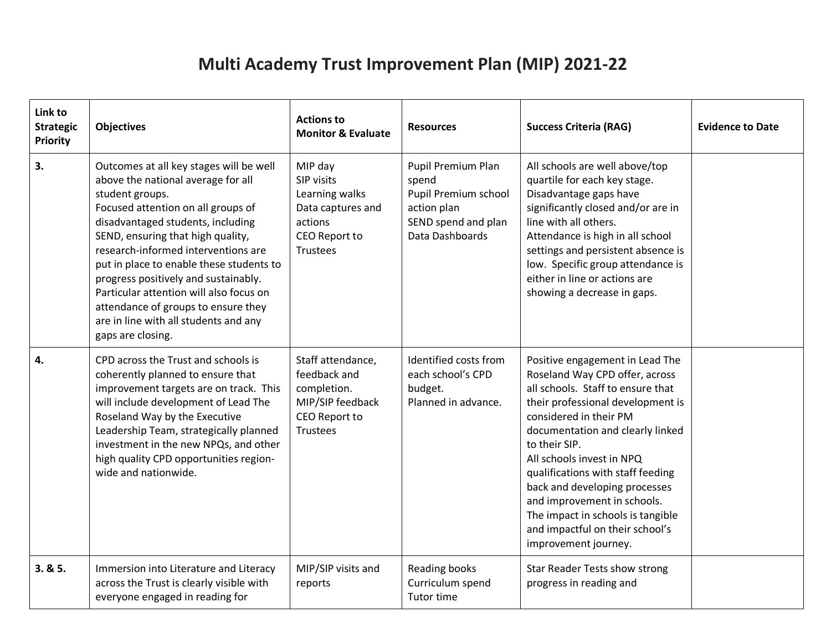## **Multi Academy Trust Improvement Plan (MIP) 2021-22**

| Link to<br><b>Strategic</b><br><b>Priority</b> | <b>Objectives</b>                                                                                                                                                                                                                                                                                                                                                                                                                                                                           | <b>Actions to</b><br><b>Monitor &amp; Evaluate</b>                                                          | <b>Resources</b>                                                                                             | <b>Success Criteria (RAG)</b>                                                                                                                                                                                                                                                                                                                                                                                                                                | <b>Evidence to Date</b> |
|------------------------------------------------|---------------------------------------------------------------------------------------------------------------------------------------------------------------------------------------------------------------------------------------------------------------------------------------------------------------------------------------------------------------------------------------------------------------------------------------------------------------------------------------------|-------------------------------------------------------------------------------------------------------------|--------------------------------------------------------------------------------------------------------------|--------------------------------------------------------------------------------------------------------------------------------------------------------------------------------------------------------------------------------------------------------------------------------------------------------------------------------------------------------------------------------------------------------------------------------------------------------------|-------------------------|
| 3.                                             | Outcomes at all key stages will be well<br>above the national average for all<br>student groups.<br>Focused attention on all groups of<br>disadvantaged students, including<br>SEND, ensuring that high quality,<br>research-informed interventions are<br>put in place to enable these students to<br>progress positively and sustainably.<br>Particular attention will also focus on<br>attendance of groups to ensure they<br>are in line with all students and any<br>gaps are closing. | MIP day<br>SIP visits<br>Learning walks<br>Data captures and<br>actions<br>CEO Report to<br><b>Trustees</b> | Pupil Premium Plan<br>spend<br>Pupil Premium school<br>action plan<br>SEND spend and plan<br>Data Dashboards | All schools are well above/top<br>quartile for each key stage.<br>Disadvantage gaps have<br>significantly closed and/or are in<br>line with all others.<br>Attendance is high in all school<br>settings and persistent absence is<br>low. Specific group attendance is<br>either in line or actions are<br>showing a decrease in gaps.                                                                                                                       |                         |
| 4.                                             | CPD across the Trust and schools is<br>coherently planned to ensure that<br>improvement targets are on track. This<br>will include development of Lead The<br>Roseland Way by the Executive<br>Leadership Team, strategically planned<br>investment in the new NPQs, and other<br>high quality CPD opportunities region-<br>wide and nationwide.                                                                                                                                            | Staff attendance,<br>feedback and<br>completion.<br>MIP/SIP feedback<br>CEO Report to<br>Trustees           | Identified costs from<br>each school's CPD<br>budget.<br>Planned in advance.                                 | Positive engagement in Lead The<br>Roseland Way CPD offer, across<br>all schools. Staff to ensure that<br>their professional development is<br>considered in their PM<br>documentation and clearly linked<br>to their SIP.<br>All schools invest in NPQ<br>qualifications with staff feeding<br>back and developing processes<br>and improvement in schools.<br>The impact in schools is tangible<br>and impactful on their school's<br>improvement journey. |                         |
| 3.85.                                          | Immersion into Literature and Literacy<br>across the Trust is clearly visible with<br>everyone engaged in reading for                                                                                                                                                                                                                                                                                                                                                                       | MIP/SIP visits and<br>reports                                                                               | Reading books<br>Curriculum spend<br>Tutor time                                                              | Star Reader Tests show strong<br>progress in reading and                                                                                                                                                                                                                                                                                                                                                                                                     |                         |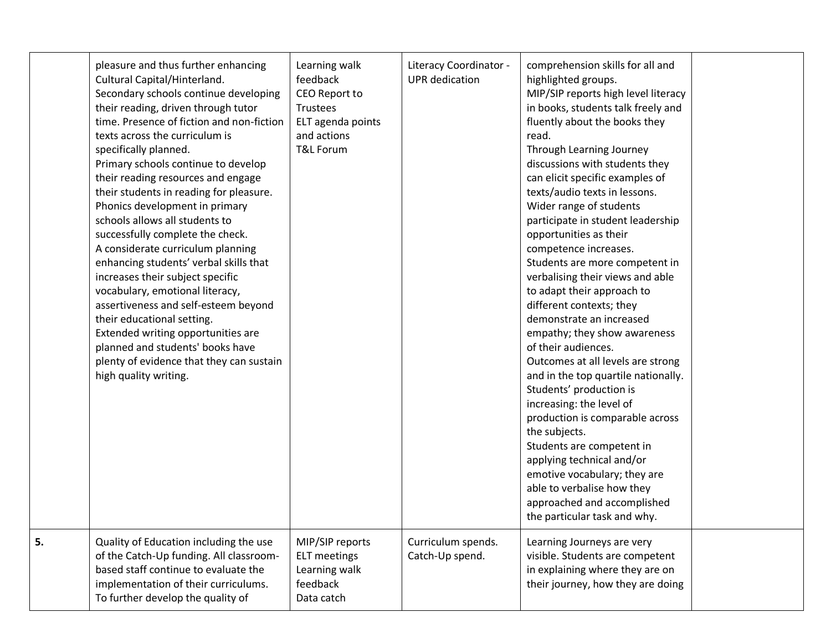|    | pleasure and thus further enhancing<br>Cultural Capital/Hinterland.<br>Secondary schools continue developing<br>their reading, driven through tutor<br>time. Presence of fiction and non-fiction<br>texts across the curriculum is<br>specifically planned.<br>Primary schools continue to develop<br>their reading resources and engage<br>their students in reading for pleasure.<br>Phonics development in primary<br>schools allows all students to<br>successfully complete the check.<br>A considerate curriculum planning<br>enhancing students' verbal skills that<br>increases their subject specific<br>vocabulary, emotional literacy,<br>assertiveness and self-esteem beyond<br>their educational setting.<br>Extended writing opportunities are<br>planned and students' books have<br>plenty of evidence that they can sustain<br>high quality writing. | Learning walk<br>feedback<br>CEO Report to<br>Trustees<br>ELT agenda points<br>and actions<br><b>T&amp;L Forum</b> | Literacy Coordinator -<br><b>UPR</b> dedication | comprehension skills for all and<br>highlighted groups.<br>MIP/SIP reports high level literacy<br>in books, students talk freely and<br>fluently about the books they<br>read.<br>Through Learning Journey<br>discussions with students they<br>can elicit specific examples of<br>texts/audio texts in lessons.<br>Wider range of students<br>participate in student leadership<br>opportunities as their<br>competence increases.<br>Students are more competent in<br>verbalising their views and able<br>to adapt their approach to<br>different contexts; they<br>demonstrate an increased<br>empathy; they show awareness<br>of their audiences.<br>Outcomes at all levels are strong<br>and in the top quartile nationally.<br>Students' production is<br>increasing: the level of<br>production is comparable across<br>the subjects.<br>Students are competent in<br>applying technical and/or<br>emotive vocabulary; they are<br>able to verbalise how they<br>approached and accomplished<br>the particular task and why. |  |
|----|------------------------------------------------------------------------------------------------------------------------------------------------------------------------------------------------------------------------------------------------------------------------------------------------------------------------------------------------------------------------------------------------------------------------------------------------------------------------------------------------------------------------------------------------------------------------------------------------------------------------------------------------------------------------------------------------------------------------------------------------------------------------------------------------------------------------------------------------------------------------|--------------------------------------------------------------------------------------------------------------------|-------------------------------------------------|--------------------------------------------------------------------------------------------------------------------------------------------------------------------------------------------------------------------------------------------------------------------------------------------------------------------------------------------------------------------------------------------------------------------------------------------------------------------------------------------------------------------------------------------------------------------------------------------------------------------------------------------------------------------------------------------------------------------------------------------------------------------------------------------------------------------------------------------------------------------------------------------------------------------------------------------------------------------------------------------------------------------------------------|--|
| 5. | Quality of Education including the use<br>of the Catch-Up funding. All classroom-<br>based staff continue to evaluate the<br>implementation of their curriculums.<br>To further develop the quality of                                                                                                                                                                                                                                                                                                                                                                                                                                                                                                                                                                                                                                                                 | MIP/SIP reports<br><b>ELT</b> meetings<br>Learning walk<br>feedback<br>Data catch                                  | Curriculum spends.<br>Catch-Up spend.           | Learning Journeys are very<br>visible. Students are competent<br>in explaining where they are on<br>their journey, how they are doing                                                                                                                                                                                                                                                                                                                                                                                                                                                                                                                                                                                                                                                                                                                                                                                                                                                                                                |  |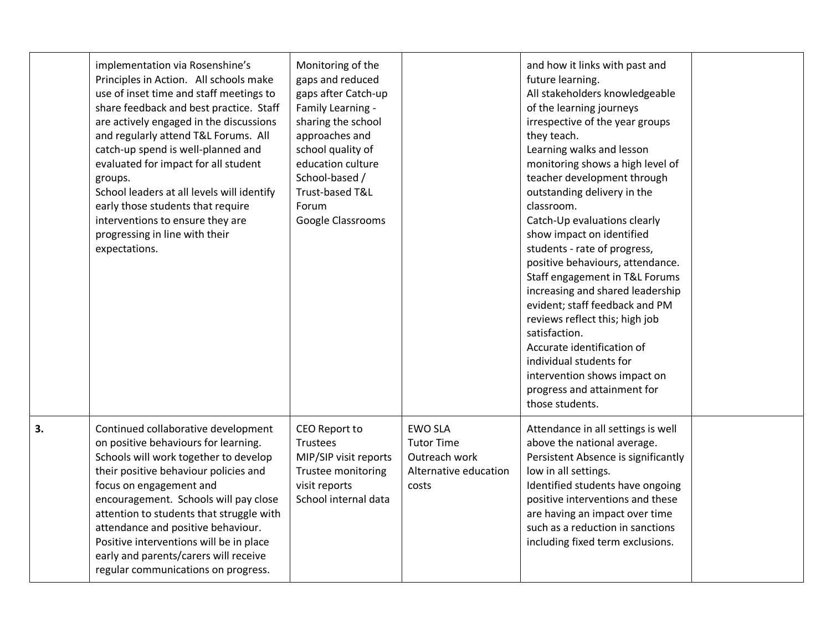|    | implementation via Rosenshine's<br>Principles in Action. All schools make<br>use of inset time and staff meetings to<br>share feedback and best practice. Staff<br>are actively engaged in the discussions<br>and regularly attend T&L Forums. All<br>catch-up spend is well-planned and<br>evaluated for impact for all student<br>groups.<br>School leaders at all levels will identify<br>early those students that require<br>interventions to ensure they are<br>progressing in line with their<br>expectations. | Monitoring of the<br>gaps and reduced<br>gaps after Catch-up<br>Family Learning -<br>sharing the school<br>approaches and<br>school quality of<br>education culture<br>School-based /<br>Trust-based T&L<br>Forum<br>Google Classrooms |                                                                                        | and how it links with past and<br>future learning.<br>All stakeholders knowledgeable<br>of the learning journeys<br>irrespective of the year groups<br>they teach.<br>Learning walks and lesson<br>monitoring shows a high level of<br>teacher development through<br>outstanding delivery in the<br>classroom.<br>Catch-Up evaluations clearly<br>show impact on identified<br>students - rate of progress,<br>positive behaviours, attendance.<br>Staff engagement in T&L Forums<br>increasing and shared leadership<br>evident; staff feedback and PM<br>reviews reflect this; high job<br>satisfaction.<br>Accurate identification of<br>individual students for<br>intervention shows impact on<br>progress and attainment for<br>those students. |  |
|----|-----------------------------------------------------------------------------------------------------------------------------------------------------------------------------------------------------------------------------------------------------------------------------------------------------------------------------------------------------------------------------------------------------------------------------------------------------------------------------------------------------------------------|----------------------------------------------------------------------------------------------------------------------------------------------------------------------------------------------------------------------------------------|----------------------------------------------------------------------------------------|--------------------------------------------------------------------------------------------------------------------------------------------------------------------------------------------------------------------------------------------------------------------------------------------------------------------------------------------------------------------------------------------------------------------------------------------------------------------------------------------------------------------------------------------------------------------------------------------------------------------------------------------------------------------------------------------------------------------------------------------------------|--|
| 3. | Continued collaborative development<br>on positive behaviours for learning.<br>Schools will work together to develop<br>their positive behaviour policies and<br>focus on engagement and<br>encouragement. Schools will pay close<br>attention to students that struggle with<br>attendance and positive behaviour.<br>Positive interventions will be in place<br>early and parents/carers will receive<br>regular communications on progress.                                                                        | CEO Report to<br>Trustees<br>MIP/SIP visit reports<br>Trustee monitoring<br>visit reports<br>School internal data                                                                                                                      | <b>EWO SLA</b><br><b>Tutor Time</b><br>Outreach work<br>Alternative education<br>costs | Attendance in all settings is well<br>above the national average.<br>Persistent Absence is significantly<br>low in all settings.<br>Identified students have ongoing<br>positive interventions and these<br>are having an impact over time<br>such as a reduction in sanctions<br>including fixed term exclusions.                                                                                                                                                                                                                                                                                                                                                                                                                                     |  |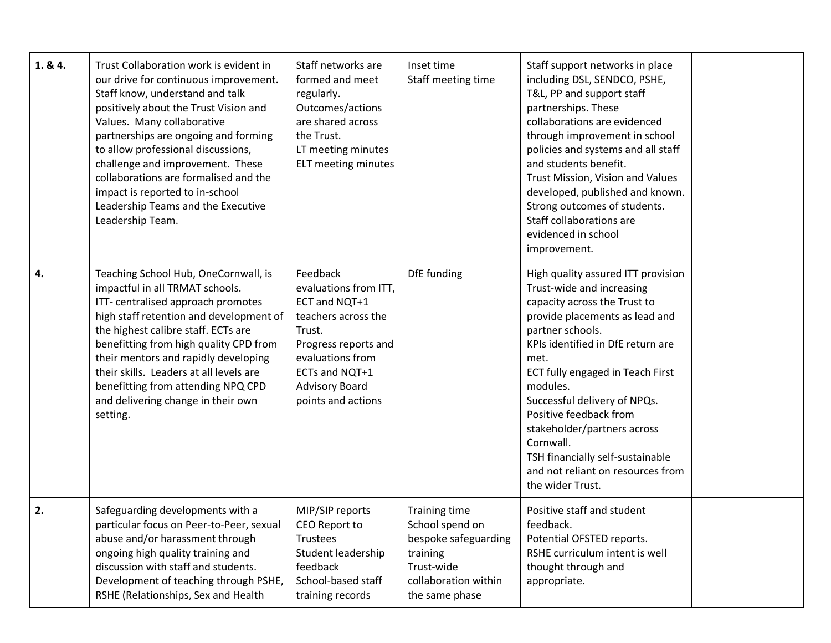| 1.84. | Trust Collaboration work is evident in<br>our drive for continuous improvement.<br>Staff know, understand and talk<br>positively about the Trust Vision and<br>Values. Many collaborative<br>partnerships are ongoing and forming<br>to allow professional discussions,<br>challenge and improvement. These<br>collaborations are formalised and the<br>impact is reported to in-school<br>Leadership Teams and the Executive<br>Leadership Team. | Staff networks are<br>formed and meet<br>regularly.<br>Outcomes/actions<br>are shared across<br>the Trust.<br>LT meeting minutes<br>ELT meeting minutes                                          | Inset time<br>Staff meeting time                                                                                                    | Staff support networks in place<br>including DSL, SENDCO, PSHE,<br>T&L, PP and support staff<br>partnerships. These<br>collaborations are evidenced<br>through improvement in school<br>policies and systems and all staff<br>and students benefit.<br>Trust Mission, Vision and Values<br>developed, published and known.<br>Strong outcomes of students.<br>Staff collaborations are<br>evidenced in school<br>improvement.                         |  |
|-------|---------------------------------------------------------------------------------------------------------------------------------------------------------------------------------------------------------------------------------------------------------------------------------------------------------------------------------------------------------------------------------------------------------------------------------------------------|--------------------------------------------------------------------------------------------------------------------------------------------------------------------------------------------------|-------------------------------------------------------------------------------------------------------------------------------------|-------------------------------------------------------------------------------------------------------------------------------------------------------------------------------------------------------------------------------------------------------------------------------------------------------------------------------------------------------------------------------------------------------------------------------------------------------|--|
| 4.    | Teaching School Hub, OneCornwall, is<br>impactful in all TRMAT schools.<br>ITT- centralised approach promotes<br>high staff retention and development of<br>the highest calibre staff. ECTs are<br>benefitting from high quality CPD from<br>their mentors and rapidly developing<br>their skills. Leaders at all levels are<br>benefitting from attending NPQ CPD<br>and delivering change in their own<br>setting.                              | Feedback<br>evaluations from ITT,<br>ECT and NQT+1<br>teachers across the<br>Trust.<br>Progress reports and<br>evaluations from<br>ECTs and NQT+1<br><b>Advisory Board</b><br>points and actions | DfE funding                                                                                                                         | High quality assured ITT provision<br>Trust-wide and increasing<br>capacity across the Trust to<br>provide placements as lead and<br>partner schools.<br>KPIs identified in DfE return are<br>met.<br>ECT fully engaged in Teach First<br>modules.<br>Successful delivery of NPQs.<br>Positive feedback from<br>stakeholder/partners across<br>Cornwall.<br>TSH financially self-sustainable<br>and not reliant on resources from<br>the wider Trust. |  |
| 2.    | Safeguarding developments with a<br>particular focus on Peer-to-Peer, sexual<br>abuse and/or harassment through<br>ongoing high quality training and<br>discussion with staff and students.<br>Development of teaching through PSHE,<br>RSHE (Relationships, Sex and Health                                                                                                                                                                       | MIP/SIP reports<br>CEO Report to<br>Trustees<br>Student leadership<br>feedback<br>School-based staff<br>training records                                                                         | <b>Training time</b><br>School spend on<br>bespoke safeguarding<br>training<br>Trust-wide<br>collaboration within<br>the same phase | Positive staff and student<br>feedback.<br>Potential OFSTED reports.<br>RSHE curriculum intent is well<br>thought through and<br>appropriate.                                                                                                                                                                                                                                                                                                         |  |